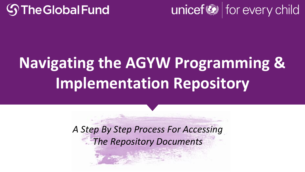



# **Navigating the AGYW Programming & Implementation Repository**

*A Step By Step Process For Accessing The Repository Documents*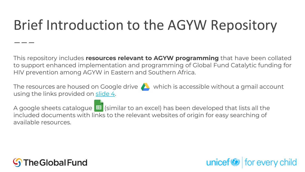#### Brief Introduction to the AGYW Repository

This repository includes **resources relevant to AGYW programming** that have been collated to support enhanced implementation and programming of Global Fund Catalytic funding for HIV prevention among AGYW in Eastern and Southern Africa.

The resources are housed on Google drive  $\triangle$  which is accessible without a gmail account using the links provided on [slide 4](#page-3-0).

 $unicef$  for every child

A google sheets catalogue  $\blacksquare$  (similar to an excel) has been developed that lists all the included documents with links to the relevant websites of origin for easy searching of available resources.

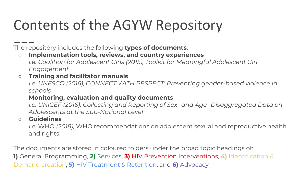#### Contents of the AGYW Repository

The repository includes the following **types of documents**:

- **Implementation tools, reviews, and country experiences** *I.e. Coalition for Adolescent Girls (2015), Toolkit for Meaningful Adolescent Girl Engagement*
- **Training and facilitator manuals** *I.e. UNESCO (2016), CONNECT WITH RESPECT: Preventing gender-based violence in schools*
- **Monitoring, evaluation and quality documents**

*I.e. UNICEF (2016), Collecting and Reporting of Sex- and Age- Disaggregated Data on Adolescents at the Sub-National Level* 

#### ○ **Guidelines**

*I.e.* WHO *(2018),* WHO recommendations on adolescent sexual and reproductive health and rights

The documents are stored in coloured folders under the broad topic headings of:

**1)** General Programming, **2)** Services, **3)** HIV Prevention Interventions*,* **4)** Identification & Demand creation, **5)** HIV Treatment & Retention, and **6)** Advocacy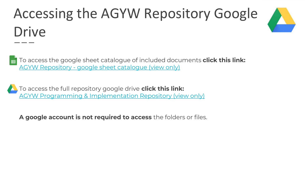## <span id="page-3-0"></span>Accessing the AGYW Repository Google Drive



To access the google sheet catalogue of included documents **click this link:** 申 AGYW Repository - [google sheet catalogue \(view only\)](https://docs.google.com/spreadsheets/d/1xmJlXzoP6CgC9fdiZxUNvGaiv8VYuuesejHQyL6GDb0/edit?usp=sharing)

To access the full repository google drive **click this link:** [AGYW Programming & Implementation Repository \(view only\)](https://drive.google.com/drive/folders/14JFEQFp24NvkgjpZ7FLt2HzOBz6pVVSh?usp=sharing)

**A google account is not required to access** the folders or files.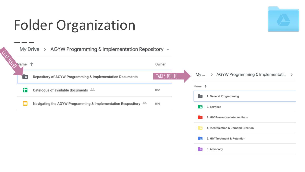### Folder Organization



|            |        | My Drive > AGYW Programming & Implementation Repository $\sim$  |                     |             |                                     |  |  |
|------------|--------|-----------------------------------------------------------------|---------------------|-------------|-------------------------------------|--|--|
| Citer Dipe | Name 个 |                                                                 | Owner               |             |                                     |  |  |
|            | Е      | Repository of AGYW Programming & Implementation Documents       | <b>TAKES YOU TO</b> | My          | > AGYW Programming & Implementati > |  |  |
|            | Ŧ      | Catelogue of available documents $\stackrel{\circ}{\leftarrow}$ | me                  | Name 个<br>E | 1. General Programming              |  |  |
|            |        | Navigating the AGYW Programming & Implementation Respository =  | me                  | ∣ El        | 2. Services                         |  |  |
|            |        |                                                                 |                     | A           | 3. HIV Prevention Interventions     |  |  |
|            |        |                                                                 |                     |             | 4. Identification & Demand Creation |  |  |
|            |        |                                                                 |                     | вe.         | 5. HIV Treatment & Retention        |  |  |
|            |        |                                                                 |                     | -41         | 6. Advocacy                         |  |  |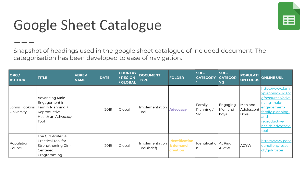#### Google Sheet Catalogue

Snapshot of headings used in the google sheet catalogue of included document. The categorisation has been developed to ease of navigation.

| ORG/<br><b>AUTHOR</b>       | <b>TITLE</b>                                                                                       | <b>ABREV</b><br><b>NAME</b> | <b>DATE</b> | <b>COUNTRY</b><br>/ REGION<br>/ GLOBAL | <b>DOCUMENT</b><br><b>TYPE</b> | <b>FOLDER</b>                                 | SUB-<br><b>CATEGORY</b>           | SUB-<br><b>CATEGOR</b><br>Y <sub>2</sub> | <b>POPULATI</b><br><b>ON FOCUS</b> | <b>ONLINE URL</b>                                                                                                                                                 |
|-----------------------------|----------------------------------------------------------------------------------------------------|-----------------------------|-------------|----------------------------------------|--------------------------------|-----------------------------------------------|-----------------------------------|------------------------------------------|------------------------------------|-------------------------------------------------------------------------------------------------------------------------------------------------------------------|
| Johns Hopkins<br>University | Advancing Male<br>Engagement in<br>Family Planning +<br>Reproductive<br>Health an Advocacy<br>Tool |                             | 2019        | Global                                 | Implementation<br>Tool         | <b>Advocacy</b>                               | Family<br>Planning/<br><b>SRH</b> | Engaging<br>Men and<br>boys              | Men and<br>Adolescent<br>Boys      | https://www.famil<br>yplanning 2020.or<br>g/resources/adva<br>ncing-male-<br>engagement-<br>family-planning-<br>and-<br>reproductive-<br>health-advocacy-<br>tool |
| Population<br>Council       | The Girl Roster: A<br><b>Practical Tool for</b><br>Strengthening Girl-<br>Centered<br>Programming  |                             | 2019        | Global                                 | Implementation<br>Tool (brief) | <b>Identification</b><br>& demand<br>creation | Identificatio   At Risk<br>l n    | <b>AGYW</b>                              | <b>AGYW</b>                        | https://www.popc<br>ouncil.org/resear<br>ch/girl-roster                                                                                                           |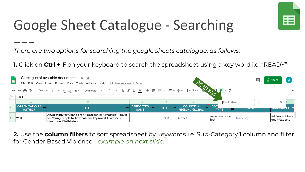

### Google Sheet Catalogue - Searching

*There are two options for searching the google sheets catalogue, as follows:*

**1.** Click on **Ctrl + F** on your keyboard to search the spreadsheet using a key word i.e. "READY"



**2.** Use the **column filters** to sort spreadsheet by keywords i.e. Sub-Category 1 column and filter for Gender Based Violence - *example on next slide...*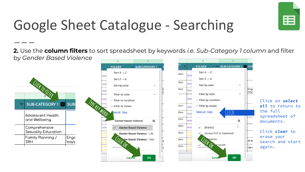

### Google Sheet Catalogue - Searching

\_ \_ \_

**2.** Use the **column filters** to sort spreadsheet by keywords *i.e. Sub-Category 1 column* and filter by *Gender Based Violence* 

| Dy Ochach Dasca violence                 |             | H                            |                              |   |  | G    |            | H                        |                            |       |                                |
|------------------------------------------|-------------|------------------------------|------------------------------|---|--|------|------------|--------------------------|----------------------------|-------|--------------------------------|
|                                          |             | <b>FOLDER</b>                | <b>SUB-CATEGORY 1</b>        |   |  |      |            | <b>FOLDER</b>            | $=$ SUB-CATEGORY 1 $=$ SUE |       |                                |
|                                          | Adv         | Sort $A \rightarrow Z$       |                              |   |  | tion | Adv        | Sort $A \rightarrow Z$   |                            |       |                                |
|                                          |             | Sort $Z \rightarrow A$       |                              |   |  |      |            | Sort $Z \rightarrow A$   |                            |       |                                |
|                                          | Adv         | Sort by color                |                              |   |  | tion | Adv        | Sort by color            |                            |       |                                |
| <b>UTCH TO FILTER</b>                    | Adv         |                              |                              |   |  | tion | Adv        |                          | Eng<br>boys                |       |                                |
|                                          |             | Filter by color              |                              |   |  |      |            | Filter by color          |                            |       |                                |
|                                          | Adı         | ▶ Filter by condition        |                              |   |  |      | Adv        | ▶ Filter by condition    |                            |       | Click on select                |
| SUB-CATEGORY 1 SUB-                      |             | ▼ Filter by values           |                              |   |  | tion | Adv        | Filter by values         |                            |       | all to return to               |
| MPE KEY MORD<br>Adolescent Health        |             | Pelect all - Clear           |                              |   |  | tion | Adv        | Select all - Clear       | LLILK                      |       | the full<br>spreadsheet of     |
| and Wellbeing                            |             | Gender based violence        |                              | Q |  | tion | Adv        |                          | Q                          |       | documents.<br>Click clear to   |
| Comprehensive                            | Adv         | <b>Gender Based Violence</b> |                              |   |  | tion | Adv        | $\checkmark$ (Blanks)    |                            |       |                                |
| Sexuality Education                      | Cre         |                              | Gender Based Violence / Life |   |  | tion | lde        | √ Access HTC & Treatment |                            |       |                                |
| Engc<br>Family Planning /<br>SRH<br>boys | Ider<br>Cre | UICK OK                      | der Based Violence / Viole   |   |  | tion | lde<br>Cre | <b>CACCER Health</b>     |                            | At Ri | erase your<br>search and start |
|                                          | ldel        |                              |                              |   |  | tion |            |                          |                            | SRH   | again.                         |
|                                          |             | Cancel                       | <b>OK</b>                    |   |  |      |            | Cance <sub>r</sub>       | <b>OK</b>                  |       |                                |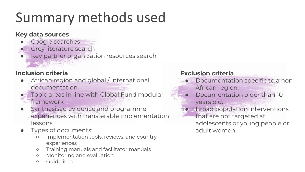### Summary methods used

#### **Key data sources**

- Google searches
	- Grey literature search
- Key partner organization resources search

#### **Inclusion criteria**

- African region and global / international documentation.
- Topic areas in line with Global Fund modular
- framework
- Synthesised evidence and programme experiences with transferable implementation lessons
- Types of documents:
	- Implementation tools, reviews, and country experiences
	- Training manuals and facilitator manuals
	- Monitoring and evaluation
	- Guidelines

#### **Exclusion criteria**

- Documentation specific to a non-African region.
- Documentation older than 10 years old.
- **Broad population interventions** 
	- that are not targeted at adolescents or young people or adult women.